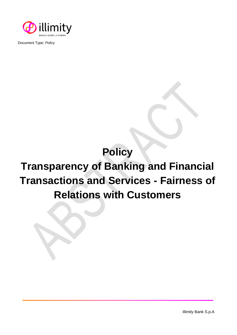

Document Type: *Policy*

## **Policy**

## **Transparency of Banking and Financial Transactions and Services - Fairness of Relations with Customers**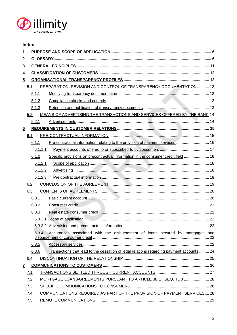

## **Index**

| 1                              |     |         |                                                                                           |  |  |  |  |  |
|--------------------------------|-----|---------|-------------------------------------------------------------------------------------------|--|--|--|--|--|
| $\overline{2}$                 |     |         |                                                                                           |  |  |  |  |  |
| $\overline{3}$                 |     |         |                                                                                           |  |  |  |  |  |
| $\overline{\mathbf{4}}$        |     |         |                                                                                           |  |  |  |  |  |
| $\overline{5}$                 |     |         |                                                                                           |  |  |  |  |  |
|                                | 5.1 |         | PREPARATION, REVISION AND CONTROL OF TRANSPARENCY DOCUMENTATION 12                        |  |  |  |  |  |
| 5.1.1                          |     |         |                                                                                           |  |  |  |  |  |
| 5.1.2                          |     |         |                                                                                           |  |  |  |  |  |
| 5.1.3                          |     |         |                                                                                           |  |  |  |  |  |
|                                | 5.2 |         | MEANS OF ADVERTISING THE TRANSACTIONS AND SERVICES OFFERED BY THE BANK 14                 |  |  |  |  |  |
|                                |     | 5.2.1   |                                                                                           |  |  |  |  |  |
| $6 \overline{6}$               |     |         |                                                                                           |  |  |  |  |  |
|                                | 6.1 |         |                                                                                           |  |  |  |  |  |
|                                |     | 6.1.1   | Pre-contractual information relating to the provision of payment services  16             |  |  |  |  |  |
|                                |     | 6.1.1.1 |                                                                                           |  |  |  |  |  |
|                                |     | 6.1.2   | Specific provisions on precontractual information in the consumer credit field  18        |  |  |  |  |  |
|                                |     | 6.1.2.1 |                                                                                           |  |  |  |  |  |
|                                |     | 6.1.2.2 |                                                                                           |  |  |  |  |  |
|                                |     | 6.1.2.3 |                                                                                           |  |  |  |  |  |
|                                | 6.2 |         |                                                                                           |  |  |  |  |  |
|                                | 6.3 |         |                                                                                           |  |  |  |  |  |
|                                |     | 6.3.1   |                                                                                           |  |  |  |  |  |
|                                |     | 6.3.2   |                                                                                           |  |  |  |  |  |
|                                |     | 6.3.3   |                                                                                           |  |  |  |  |  |
|                                |     |         |                                                                                           |  |  |  |  |  |
|                                |     |         |                                                                                           |  |  |  |  |  |
|                                |     | 6.3.4   | Assurances associated with the disbursement of loans secured by mortgages and             |  |  |  |  |  |
|                                |     |         |                                                                                           |  |  |  |  |  |
|                                |     | 6.3.5   |                                                                                           |  |  |  |  |  |
|                                |     | 6.3.6   | Transactions that lead to the cessation of legal relations regarding payment accounts  24 |  |  |  |  |  |
|                                | 6.4 |         |                                                                                           |  |  |  |  |  |
| $\overline{\mathbf{r}}$<br>7.1 |     |         |                                                                                           |  |  |  |  |  |
|                                |     |         |                                                                                           |  |  |  |  |  |
|                                | 7.2 |         | MORTGAGE LOAN AGREEMENTS PURSUANT TO ARTICLE 38 ET SEQ. TUB  28                           |  |  |  |  |  |
| 7.3                            |     |         |                                                                                           |  |  |  |  |  |
| 7.4<br>7.5                     |     |         | COMMUNICATIONS REQUIRED AS PART OF THE PROVISION OF PAYMENT SERVICES 28                   |  |  |  |  |  |
|                                |     |         |                                                                                           |  |  |  |  |  |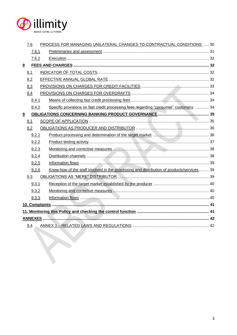

|                                  | 7.6            |  | PROCESS FOR MANAGING UNILATERAL CHANGES TO CONTRACTUAL CONDITIONS  30                     |    |  |  |
|----------------------------------|----------------|--|-------------------------------------------------------------------------------------------|----|--|--|
| 7.6.1                            |                |  |                                                                                           |    |  |  |
|                                  | 7.6.2          |  |                                                                                           |    |  |  |
| 8                                |                |  |                                                                                           |    |  |  |
| 8.1                              |                |  |                                                                                           |    |  |  |
| 8.2                              |                |  |                                                                                           |    |  |  |
|                                  | 8.3            |  |                                                                                           |    |  |  |
| 8.4                              |                |  |                                                                                           |    |  |  |
| 8.4.1                            |                |  |                                                                                           |    |  |  |
|                                  | 8.4.2          |  | Specific provisions on fast credit processing fees regarding "consumer" customers  34     |    |  |  |
| 9                                |                |  |                                                                                           |    |  |  |
|                                  | 9.1            |  |                                                                                           |    |  |  |
|                                  | 9.2            |  |                                                                                           |    |  |  |
|                                  | 9.2.1          |  |                                                                                           |    |  |  |
| 9.2.2                            |                |  |                                                                                           |    |  |  |
| 9.2.3<br>9.2.4<br>9.2.5<br>9.2.6 |                |  |                                                                                           |    |  |  |
|                                  |                |  |                                                                                           |    |  |  |
|                                  |                |  |                                                                                           |    |  |  |
|                                  |                |  | Know-how of the staff involved in the processing and distribution of products/services 39 |    |  |  |
| 9.3                              |                |  |                                                                                           |    |  |  |
| 9.3.1<br>9.3.2                   |                |  |                                                                                           |    |  |  |
|                                  |                |  |                                                                                           |    |  |  |
|                                  | 9.3.3          |  |                                                                                           |    |  |  |
|                                  |                |  |                                                                                           |    |  |  |
|                                  |                |  |                                                                                           |    |  |  |
|                                  | <b>ANNEXES</b> |  |                                                                                           | 42 |  |  |
|                                  | 9.4            |  |                                                                                           |    |  |  |
|                                  |                |  |                                                                                           |    |  |  |
|                                  |                |  |                                                                                           |    |  |  |
|                                  |                |  |                                                                                           |    |  |  |
|                                  |                |  |                                                                                           |    |  |  |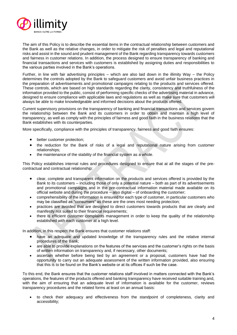

The aim of this Policy is to describe the essential items in the contractual relationship between customers and the Bank as well as the relative changes, in order to mitigate the risk of penalties and legal and reputational risks and assist in the sound and prudent management of the Bank regarding transparency towards customers and fairness in customer relations. In addition, the process designed to ensure transparency of banking and financial transactions and services with customers is established by assigning duties and responsibilities to the various parties involved in the Bank's operations.

Further, in line with fair advertising principles – which are also laid down in the illimity Way – the Policy determines the controls adopted by the Bank to safeguard customers and avoid unfair business practices in the preparation of advertisements and promotional campaigns relating to the products and services offered. These controls, which are based on high standards regarding the clarity, consistency and truthfulness of the information provided to the public, consist of performing specific checks of the advertising material in advance, designed to ensure compliance with applicable laws and regulations as well as make sure that customers will always be able to make knowledgeable and informed decisions about the products offered.

Current supervisory provisions on the transparency of banking and financial transactions and services govern the relationship between the Bank and its customers in order to obtain and maintain a high level of transparency, as well as comply with the principles of fairness and good faith in the business relations that the Bank establishes with its counterparties.

More specifically, compliance with the principles of transparency, fairness and good faith ensures:

- better customer protection;
- the reduction for the Bank of risks of a legal and reputational nature arising from customer relationships;
- the maintenance of the stability of the financial system as a whole.

This Policy establishes internal rules and procedures designed to ensure that at all the stages of the precontractual and contractual relationship:

- clear, complete and transparent information on the products and services offered is provided by the Bank to its customers – including those of only a potential nature – both as part of its advertisements and promotional campaigns and in the pre-contractual information material made available on its official website and during the procedure – also digital – of onboarding the customer;
- comprehensibility of the information is ensured for each type of customer, in particular customers who may be classified as "consumers" as these are the ones most needing protection;
- practices are avoided that are designed to direct customers towards products that are clearly and manifestly not suited to their financial requirements;
- there is efficient customer complaints management in order to keep the quality of the relationship established with each customer at a high level.

In addition, in this respect the Bank ensures that customer relations staff:

- have an adequate and updated knowledge of the transparency rules and the relative internal procedures of the Bank;
- are able to provide explanations on the features of the services and the customer's rights on the basis of written information on transparency and, if necessary, other documents;
- ascertain whether before being tied by an agreement or a proposal, customers have had the opportunity to carry out an adequate assessment of the written information provided, also ensuring that this is to be found on the Bank's website or at its offices if such be the case.

To this end, the Bank ensures that the customer relations staff involved in matters connected with the Bank's operations, the features of the products offered and banking transparency have received suitable training and, with the aim of ensuring that an adequate level of information is available for the customer, reviews transparency procedures and the related forms at least on an annual basis:

• to check their adequacy and effectiveness from the standpoint of completeness, clarity and accessibility;